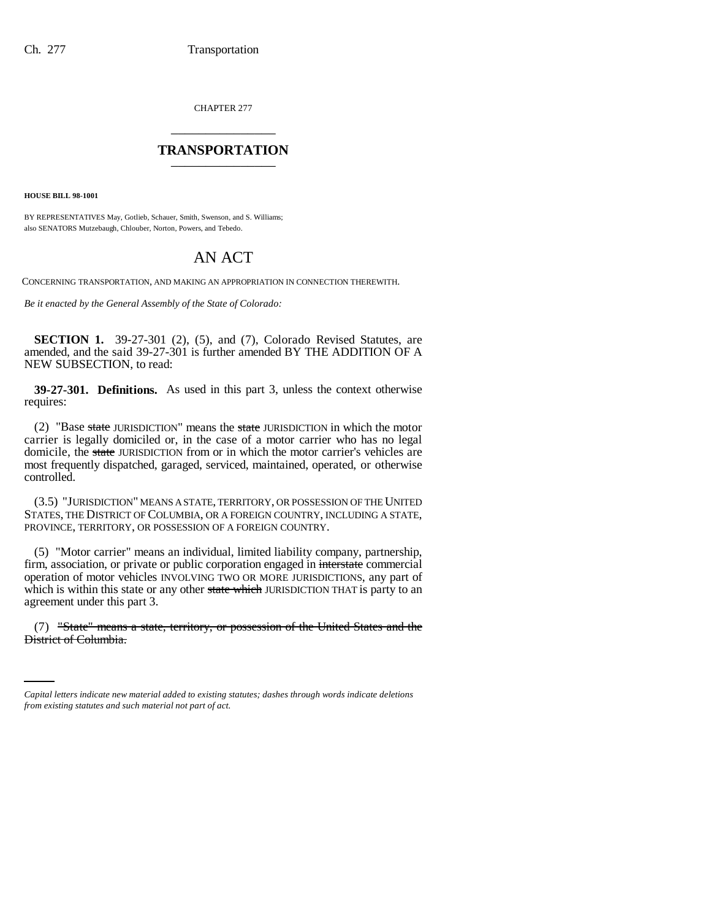CHAPTER 277 \_\_\_\_\_\_\_\_\_\_\_\_\_\_\_

## **TRANSPORTATION** \_\_\_\_\_\_\_\_\_\_\_\_\_\_\_

**HOUSE BILL 98-1001**

BY REPRESENTATIVES May, Gotlieb, Schauer, Smith, Swenson, and S. Williams; also SENATORS Mutzebaugh, Chlouber, Norton, Powers, and Tebedo.

# AN ACT

CONCERNING TRANSPORTATION, AND MAKING AN APPROPRIATION IN CONNECTION THEREWITH.

*Be it enacted by the General Assembly of the State of Colorado:*

**SECTION 1.** 39-27-301 (2), (5), and (7), Colorado Revised Statutes, are amended, and the said 39-27-301 is further amended BY THE ADDITION OF A NEW SUBSECTION, to read:

**39-27-301. Definitions.** As used in this part 3, unless the context otherwise requires:

(2) "Base state JURISDICTION" means the state JURISDICTION in which the motor carrier is legally domiciled or, in the case of a motor carrier who has no legal domicile, the state JURISDICTION from or in which the motor carrier's vehicles are most frequently dispatched, garaged, serviced, maintained, operated, or otherwise controlled.

(3.5) "JURISDICTION" MEANS A STATE, TERRITORY, OR POSSESSION OF THE UNITED STATES, THE DISTRICT OF COLUMBIA, OR A FOREIGN COUNTRY, INCLUDING A STATE, PROVINCE, TERRITORY, OR POSSESSION OF A FOREIGN COUNTRY.

(5) "Motor carrier" means an individual, limited liability company, partnership, firm, association, or private or public corporation engaged in interstate commercial operation of motor vehicles INVOLVING TWO OR MORE JURISDICTIONS, any part of which is within this state or any other state which JURISDICTION THAT is party to an agreement under this part 3.

(7) "State" means a state, territory, or possession of the United States and the District of Columbia.

*Capital letters indicate new material added to existing statutes; dashes through words indicate deletions from existing statutes and such material not part of act.*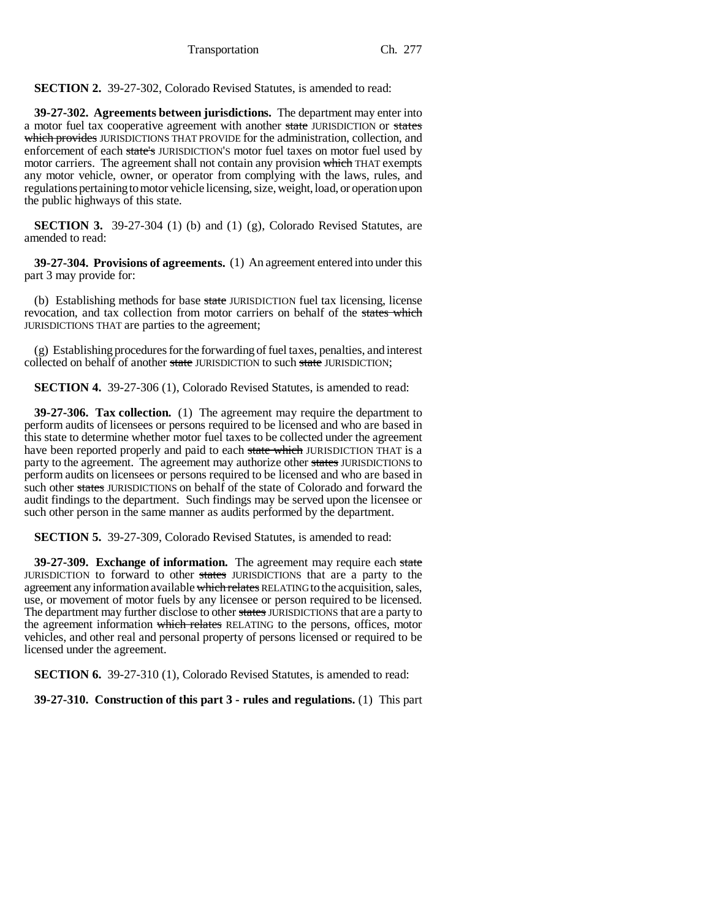Transportation Ch. 277

**SECTION 2.** 39-27-302, Colorado Revised Statutes, is amended to read:

**39-27-302. Agreements between jurisdictions.** The department may enter into a motor fuel tax cooperative agreement with another state JURISDICTION or states which provides JURISDICTIONS THAT PROVIDE for the administration, collection, and enforcement of each state's JURISDICTION'S motor fuel taxes on motor fuel used by motor carriers. The agreement shall not contain any provision which THAT exempts any motor vehicle, owner, or operator from complying with the laws, rules, and regulations pertaining to motor vehicle licensing, size, weight, load, or operation upon the public highways of this state.

**SECTION 3.** 39-27-304 (1) (b) and (1) (g), Colorado Revised Statutes, are amended to read:

**39-27-304. Provisions of agreements.** (1) An agreement entered into under this part 3 may provide for:

(b) Establishing methods for base state JURISDICTION fuel tax licensing, license revocation, and tax collection from motor carriers on behalf of the states which JURISDICTIONS THAT are parties to the agreement;

(g) Establishing procedures for the forwarding of fuel taxes, penalties, and interest collected on behalf of another state JURISDICTION to such state JURISDICTION;

**SECTION 4.** 39-27-306 (1), Colorado Revised Statutes, is amended to read:

**39-27-306. Tax collection.** (1) The agreement may require the department to perform audits of licensees or persons required to be licensed and who are based in this state to determine whether motor fuel taxes to be collected under the agreement have been reported properly and paid to each state which JURISDICTION THAT is a party to the agreement. The agreement may authorize other states JURISDICTIONS to perform audits on licensees or persons required to be licensed and who are based in such other states JURISDICTIONS on behalf of the state of Colorado and forward the audit findings to the department. Such findings may be served upon the licensee or such other person in the same manner as audits performed by the department.

**SECTION 5.** 39-27-309, Colorado Revised Statutes, is amended to read:

**39-27-309. Exchange of information.** The agreement may require each state JURISDICTION to forward to other states JURISDICTIONS that are a party to the agreement any information available which relates RELATING to the acquisition, sales, use, or movement of motor fuels by any licensee or person required to be licensed. The department may further disclose to other states JURISDICTIONS that are a party to the agreement information which relates RELATING to the persons, offices, motor vehicles, and other real and personal property of persons licensed or required to be licensed under the agreement.

**SECTION 6.** 39-27-310 (1), Colorado Revised Statutes, is amended to read:

**39-27-310. Construction of this part 3 - rules and regulations.** (1) This part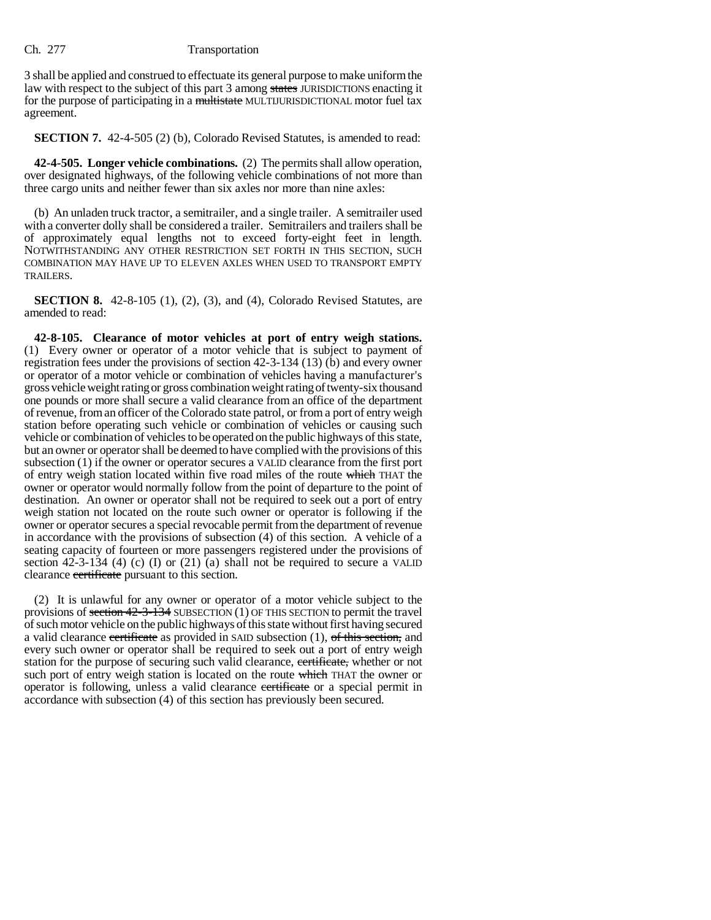### Ch. 277 Transportation

3 shall be applied and construed to effectuate its general purpose to make uniform the law with respect to the subject of this part 3 among states JURISDICTIONS enacting it for the purpose of participating in a multistate MULTIJURISDICTIONAL motor fuel tax agreement.

**SECTION 7.** 42-4-505 (2) (b), Colorado Revised Statutes, is amended to read:

**42-4-505. Longer vehicle combinations.** (2) The permits shall allow operation, over designated highways, of the following vehicle combinations of not more than three cargo units and neither fewer than six axles nor more than nine axles:

(b) An unladen truck tractor, a semitrailer, and a single trailer. A semitrailer used with a converter dolly shall be considered a trailer. Semitrailers and trailers shall be of approximately equal lengths not to exceed forty-eight feet in length. NOTWITHSTANDING ANY OTHER RESTRICTION SET FORTH IN THIS SECTION, SUCH COMBINATION MAY HAVE UP TO ELEVEN AXLES WHEN USED TO TRANSPORT EMPTY TRAILERS.

**SECTION 8.** 42-8-105 (1), (2), (3), and (4), Colorado Revised Statutes, are amended to read:

**42-8-105. Clearance of motor vehicles at port of entry weigh stations.** (1) Every owner or operator of a motor vehicle that is subject to payment of registration fees under the provisions of section 42-3-134 (13) (b) and every owner or operator of a motor vehicle or combination of vehicles having a manufacturer's gross vehicle weight rating or gross combination weight rating of twenty-six thousand one pounds or more shall secure a valid clearance from an office of the department of revenue, from an officer of the Colorado state patrol, or from a port of entry weigh station before operating such vehicle or combination of vehicles or causing such vehicle or combination of vehicles to be operated on the public highways of this state, but an owner or operator shall be deemed to have complied with the provisions of this subsection (1) if the owner or operator secures a VALID clearance from the first port of entry weigh station located within five road miles of the route which THAT the owner or operator would normally follow from the point of departure to the point of destination. An owner or operator shall not be required to seek out a port of entry weigh station not located on the route such owner or operator is following if the owner or operator secures a special revocable permit from the department of revenue in accordance with the provisions of subsection (4) of this section. A vehicle of a seating capacity of fourteen or more passengers registered under the provisions of section  $42-3-134$  (4) (c) (I) or (21) (a) shall not be required to secure a VALID clearance certificate pursuant to this section.

(2) It is unlawful for any owner or operator of a motor vehicle subject to the provisions of section 42-3-134 SUBSECTION (1) OF THIS SECTION to permit the travel of such motor vehicle on the public highways of this state without first having secured a valid clearance certificate as provided in SAID subsection  $(1)$ , of this section, and every such owner or operator shall be required to seek out a port of entry weigh station for the purpose of securing such valid clearance, certificate, whether or not such port of entry weigh station is located on the route which THAT the owner or operator is following, unless a valid clearance certificate or a special permit in accordance with subsection (4) of this section has previously been secured.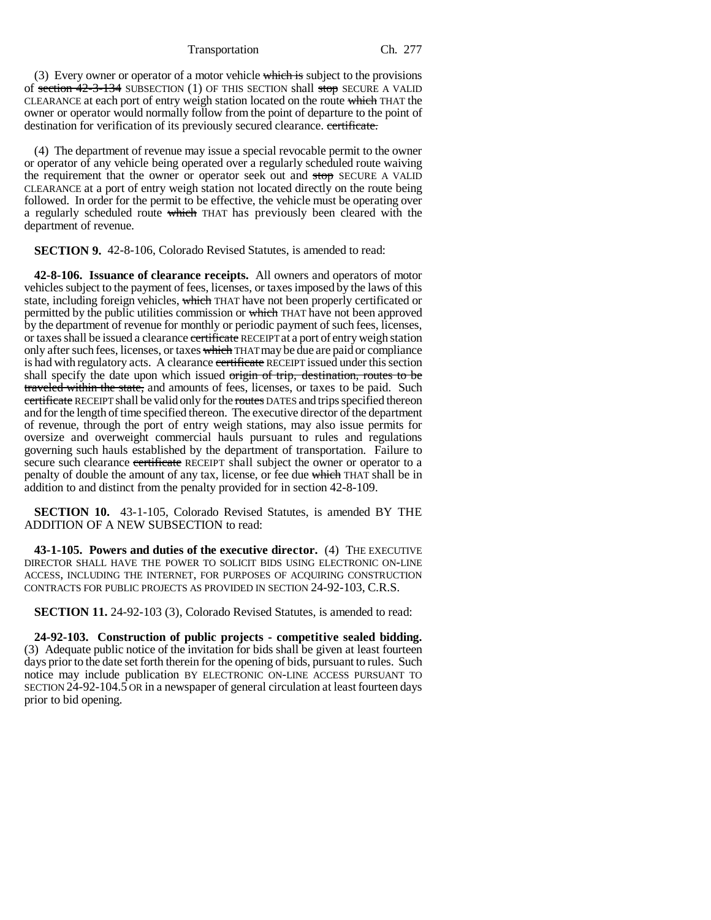Transportation Ch. 277

(3) Every owner or operator of a motor vehicle which is subject to the provisions of section 42-3-134 SUBSECTION (1) OF THIS SECTION shall stop SECURE A VALID CLEARANCE at each port of entry weigh station located on the route which THAT the owner or operator would normally follow from the point of departure to the point of destination for verification of its previously secured clearance. certificate.

(4) The department of revenue may issue a special revocable permit to the owner or operator of any vehicle being operated over a regularly scheduled route waiving the requirement that the owner or operator seek out and stop SECURE A VALID CLEARANCE at a port of entry weigh station not located directly on the route being followed. In order for the permit to be effective, the vehicle must be operating over a regularly scheduled route which THAT has previously been cleared with the department of revenue.

**SECTION 9.** 42-8-106, Colorado Revised Statutes, is amended to read:

**42-8-106. Issuance of clearance receipts.** All owners and operators of motor vehicles subject to the payment of fees, licenses, or taxes imposed by the laws of this state, including foreign vehicles, which THAT have not been properly certificated or permitted by the public utilities commission or which THAT have not been approved by the department of revenue for monthly or periodic payment of such fees, licenses, or taxes shall be issued a clearance certificate RECEIPT at a port of entry weigh station only after such fees, licenses, or taxes which THAT may be due are paid or compliance is had with regulatory acts. A clearance certificate RECEIPT issued under this section shall specify the date upon which issued origin of trip, destination, routes to be traveled within the state, and amounts of fees, licenses, or taxes to be paid. Such ertificate RECEIPT shall be valid only for the routes DATES and trips specified thereon and for the length of time specified thereon. The executive director of the department of revenue, through the port of entry weigh stations, may also issue permits for oversize and overweight commercial hauls pursuant to rules and regulations governing such hauls established by the department of transportation. Failure to secure such clearance certificate RECEIPT shall subject the owner or operator to a penalty of double the amount of any tax, license, or fee due which THAT shall be in addition to and distinct from the penalty provided for in section 42-8-109.

**SECTION 10.** 43-1-105, Colorado Revised Statutes, is amended BY THE ADDITION OF A NEW SUBSECTION to read:

**43-1-105. Powers and duties of the executive director.** (4) THE EXECUTIVE DIRECTOR SHALL HAVE THE POWER TO SOLICIT BIDS USING ELECTRONIC ON-LINE ACCESS, INCLUDING THE INTERNET, FOR PURPOSES OF ACQUIRING CONSTRUCTION CONTRACTS FOR PUBLIC PROJECTS AS PROVIDED IN SECTION 24-92-103, C.R.S.

**SECTION 11.** 24-92-103 (3), Colorado Revised Statutes, is amended to read:

**24-92-103. Construction of public projects - competitive sealed bidding.** (3) Adequate public notice of the invitation for bids shall be given at least fourteen days prior to the date set forth therein for the opening of bids, pursuant to rules. Such notice may include publication BY ELECTRONIC ON-LINE ACCESS PURSUANT TO SECTION 24-92-104.5 OR in a newspaper of general circulation at least fourteen days prior to bid opening.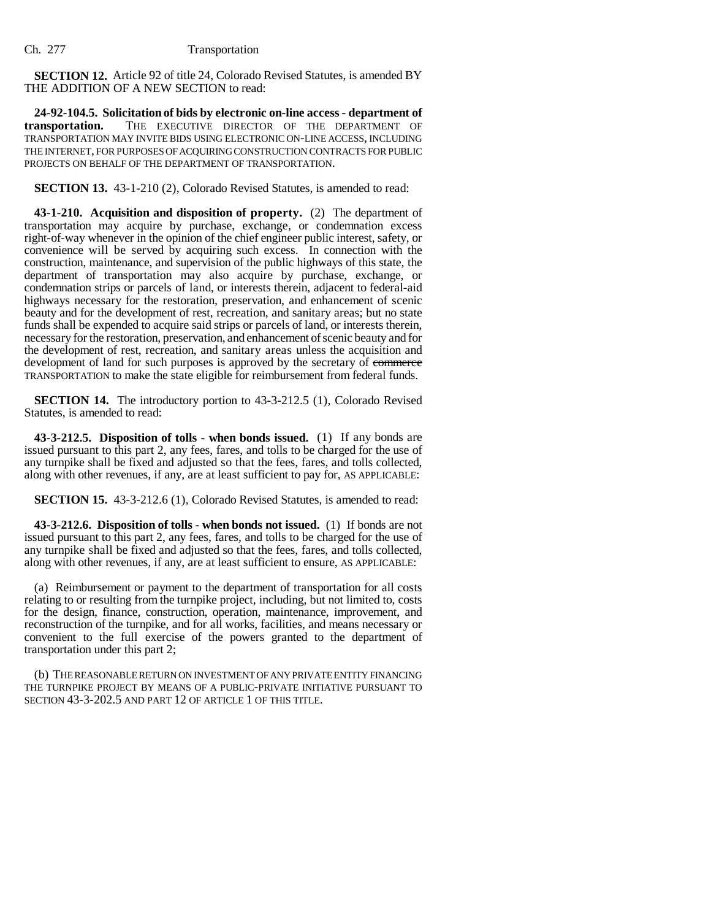**SECTION 12.** Article 92 of title 24, Colorado Revised Statutes, is amended BY THE ADDITION OF A NEW SECTION to read:

**24-92-104.5. Solicitation of bids by electronic on-line access - department of transportation.** THE EXECUTIVE DIRECTOR OF THE DEPARTMENT OF TRANSPORTATION MAY INVITE BIDS USING ELECTRONIC ON-LINE ACCESS, INCLUDING THE INTERNET, FOR PURPOSES OF ACQUIRING CONSTRUCTION CONTRACTS FOR PUBLIC PROJECTS ON BEHALF OF THE DEPARTMENT OF TRANSPORTATION.

**SECTION 13.** 43-1-210 (2), Colorado Revised Statutes, is amended to read:

**43-1-210. Acquisition and disposition of property.** (2) The department of transportation may acquire by purchase, exchange, or condemnation excess right-of-way whenever in the opinion of the chief engineer public interest, safety, or convenience will be served by acquiring such excess. In connection with the construction, maintenance, and supervision of the public highways of this state, the department of transportation may also acquire by purchase, exchange, or condemnation strips or parcels of land, or interests therein, adjacent to federal-aid highways necessary for the restoration, preservation, and enhancement of scenic beauty and for the development of rest, recreation, and sanitary areas; but no state funds shall be expended to acquire said strips or parcels of land, or interests therein, necessary for the restoration, preservation, and enhancement of scenic beauty and for the development of rest, recreation, and sanitary areas unless the acquisition and development of land for such purposes is approved by the secretary of commerce TRANSPORTATION to make the state eligible for reimbursement from federal funds.

**SECTION 14.** The introductory portion to 43-3-212.5 (1), Colorado Revised Statutes, is amended to read:

**43-3-212.5. Disposition of tolls - when bonds issued.** (1) If any bonds are issued pursuant to this part 2, any fees, fares, and tolls to be charged for the use of any turnpike shall be fixed and adjusted so that the fees, fares, and tolls collected, along with other revenues, if any, are at least sufficient to pay for, AS APPLICABLE:

**SECTION 15.** 43-3-212.6 (1), Colorado Revised Statutes, is amended to read:

**43-3-212.6. Disposition of tolls - when bonds not issued.** (1) If bonds are not issued pursuant to this part 2, any fees, fares, and tolls to be charged for the use of any turnpike shall be fixed and adjusted so that the fees, fares, and tolls collected, along with other revenues, if any, are at least sufficient to ensure, AS APPLICABLE:

(a) Reimbursement or payment to the department of transportation for all costs relating to or resulting from the turnpike project, including, but not limited to, costs for the design, finance, construction, operation, maintenance, improvement, and reconstruction of the turnpike, and for all works, facilities, and means necessary or convenient to the full exercise of the powers granted to the department of transportation under this part 2;

(b) THE REASONABLE RETURN ON INVESTMENT OF ANY PRIVATE ENTITY FINANCING THE TURNPIKE PROJECT BY MEANS OF A PUBLIC-PRIVATE INITIATIVE PURSUANT TO SECTION 43-3-202.5 AND PART 12 OF ARTICLE 1 OF THIS TITLE.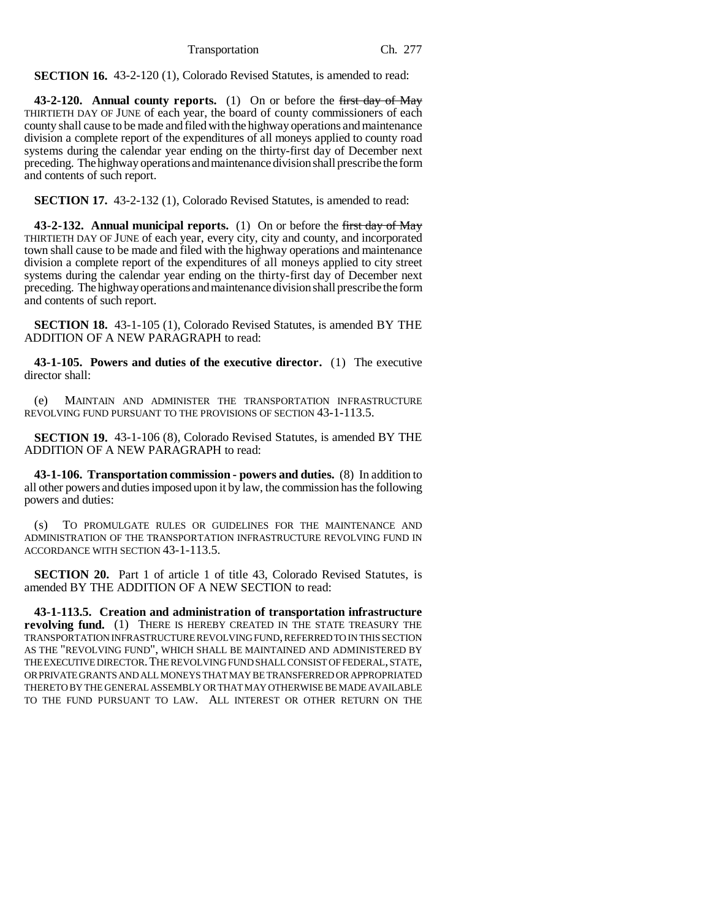**SECTION 16.** 43-2-120 (1), Colorado Revised Statutes, is amended to read:

**43-2-120. Annual county reports.** (1) On or before the first day of May THIRTIETH DAY OF JUNE of each year, the board of county commissioners of each county shall cause to be made and filed with the highway operations and maintenance division a complete report of the expenditures of all moneys applied to county road systems during the calendar year ending on the thirty-first day of December next preceding. The highway operations and maintenance division shall prescribe the form and contents of such report.

**SECTION 17.** 43-2-132 (1), Colorado Revised Statutes, is amended to read:

**43-2-132. Annual municipal reports.** (1) On or before the first day of May THIRTIETH DAY OF JUNE of each year, every city, city and county, and incorporated town shall cause to be made and filed with the highway operations and maintenance division a complete report of the expenditures of all moneys applied to city street systems during the calendar year ending on the thirty-first day of December next preceding. The highway operations and maintenance division shall prescribe the form and contents of such report.

**SECTION 18.** 43-1-105 (1), Colorado Revised Statutes, is amended BY THE ADDITION OF A NEW PARAGRAPH to read:

**43-1-105. Powers and duties of the executive director.** (1) The executive director shall:

(e) MAINTAIN AND ADMINISTER THE TRANSPORTATION INFRASTRUCTURE REVOLVING FUND PURSUANT TO THE PROVISIONS OF SECTION 43-1-113.5.

**SECTION 19.** 43-1-106 (8), Colorado Revised Statutes, is amended BY THE ADDITION OF A NEW PARAGRAPH to read:

**43-1-106. Transportation commission - powers and duties.** (8) In addition to all other powers and duties imposed upon it by law, the commission has the following powers and duties:

(s) TO PROMULGATE RULES OR GUIDELINES FOR THE MAINTENANCE AND ADMINISTRATION OF THE TRANSPORTATION INFRASTRUCTURE REVOLVING FUND IN ACCORDANCE WITH SECTION 43-1-113.5.

**SECTION 20.** Part 1 of article 1 of title 43, Colorado Revised Statutes, is amended BY THE ADDITION OF A NEW SECTION to read:

**43-1-113.5. Creation and administration of transportation infrastructure revolving fund.** (1) THERE IS HEREBY CREATED IN THE STATE TREASURY THE TRANSPORTATION INFRASTRUCTURE REVOLVING FUND, REFERRED TO IN THIS SECTION AS THE "REVOLVING FUND", WHICH SHALL BE MAINTAINED AND ADMINISTERED BY THE EXECUTIVE DIRECTOR.THE REVOLVING FUND SHALL CONSIST OF FEDERAL, STATE, OR PRIVATE GRANTS AND ALL MONEYS THAT MAY BE TRANSFERRED OR APPROPRIATED THERETO BY THE GENERAL ASSEMBLY OR THAT MAY OTHERWISE BE MADE AVAILABLE TO THE FUND PURSUANT TO LAW. ALL INTEREST OR OTHER RETURN ON THE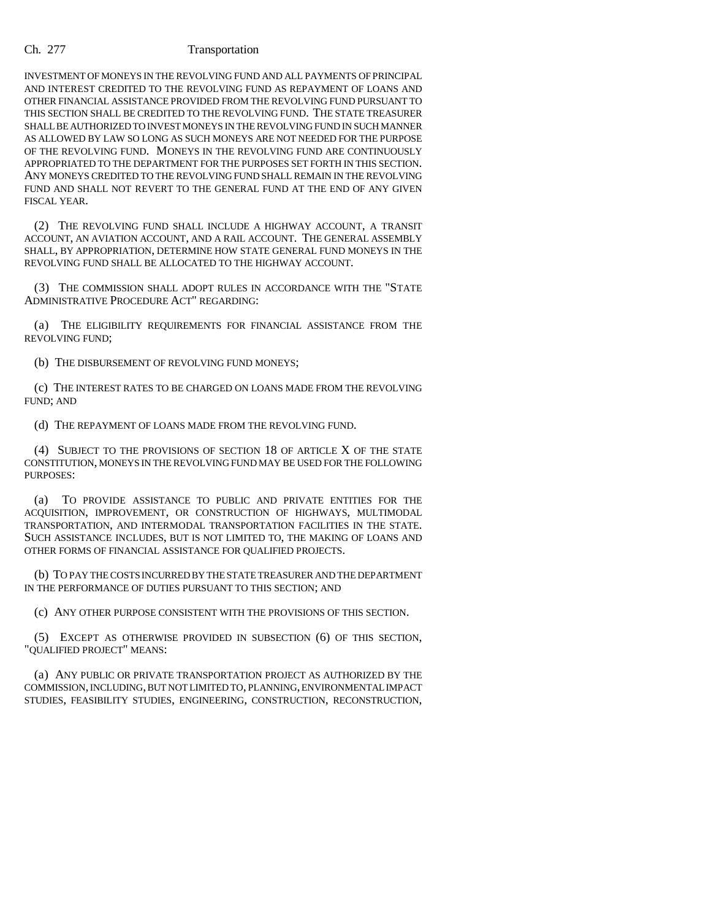### Ch. 277 Transportation

INVESTMENT OF MONEYS IN THE REVOLVING FUND AND ALL PAYMENTS OF PRINCIPAL AND INTEREST CREDITED TO THE REVOLVING FUND AS REPAYMENT OF LOANS AND OTHER FINANCIAL ASSISTANCE PROVIDED FROM THE REVOLVING FUND PURSUANT TO THIS SECTION SHALL BE CREDITED TO THE REVOLVING FUND. THE STATE TREASURER SHALL BE AUTHORIZED TO INVEST MONEYS IN THE REVOLVING FUND IN SUCH MANNER AS ALLOWED BY LAW SO LONG AS SUCH MONEYS ARE NOT NEEDED FOR THE PURPOSE OF THE REVOLVING FUND. MONEYS IN THE REVOLVING FUND ARE CONTINUOUSLY APPROPRIATED TO THE DEPARTMENT FOR THE PURPOSES SET FORTH IN THIS SECTION. ANY MONEYS CREDITED TO THE REVOLVING FUND SHALL REMAIN IN THE REVOLVING FUND AND SHALL NOT REVERT TO THE GENERAL FUND AT THE END OF ANY GIVEN FISCAL YEAR.

(2) THE REVOLVING FUND SHALL INCLUDE A HIGHWAY ACCOUNT, A TRANSIT ACCOUNT, AN AVIATION ACCOUNT, AND A RAIL ACCOUNT. THE GENERAL ASSEMBLY SHALL, BY APPROPRIATION, DETERMINE HOW STATE GENERAL FUND MONEYS IN THE REVOLVING FUND SHALL BE ALLOCATED TO THE HIGHWAY ACCOUNT.

(3) THE COMMISSION SHALL ADOPT RULES IN ACCORDANCE WITH THE "STATE ADMINISTRATIVE PROCEDURE ACT" REGARDING:

(a) THE ELIGIBILITY REQUIREMENTS FOR FINANCIAL ASSISTANCE FROM THE REVOLVING FUND;

(b) THE DISBURSEMENT OF REVOLVING FUND MONEYS;

(c) THE INTEREST RATES TO BE CHARGED ON LOANS MADE FROM THE REVOLVING FUND; AND

(d) THE REPAYMENT OF LOANS MADE FROM THE REVOLVING FUND.

(4) SUBJECT TO THE PROVISIONS OF SECTION 18 OF ARTICLE X OF THE STATE CONSTITUTION, MONEYS IN THE REVOLVING FUND MAY BE USED FOR THE FOLLOWING PURPOSES:

(a) TO PROVIDE ASSISTANCE TO PUBLIC AND PRIVATE ENTITIES FOR THE ACQUISITION, IMPROVEMENT, OR CONSTRUCTION OF HIGHWAYS, MULTIMODAL TRANSPORTATION, AND INTERMODAL TRANSPORTATION FACILITIES IN THE STATE. SUCH ASSISTANCE INCLUDES, BUT IS NOT LIMITED TO, THE MAKING OF LOANS AND OTHER FORMS OF FINANCIAL ASSISTANCE FOR QUALIFIED PROJECTS.

(b) TO PAY THE COSTS INCURRED BY THE STATE TREASURER AND THE DEPARTMENT IN THE PERFORMANCE OF DUTIES PURSUANT TO THIS SECTION; AND

(c) ANY OTHER PURPOSE CONSISTENT WITH THE PROVISIONS OF THIS SECTION.

(5) EXCEPT AS OTHERWISE PROVIDED IN SUBSECTION (6) OF THIS SECTION, "QUALIFIED PROJECT" MEANS:

(a) ANY PUBLIC OR PRIVATE TRANSPORTATION PROJECT AS AUTHORIZED BY THE COMMISSION, INCLUDING, BUT NOT LIMITED TO, PLANNING, ENVIRONMENTAL IMPACT STUDIES, FEASIBILITY STUDIES, ENGINEERING, CONSTRUCTION, RECONSTRUCTION,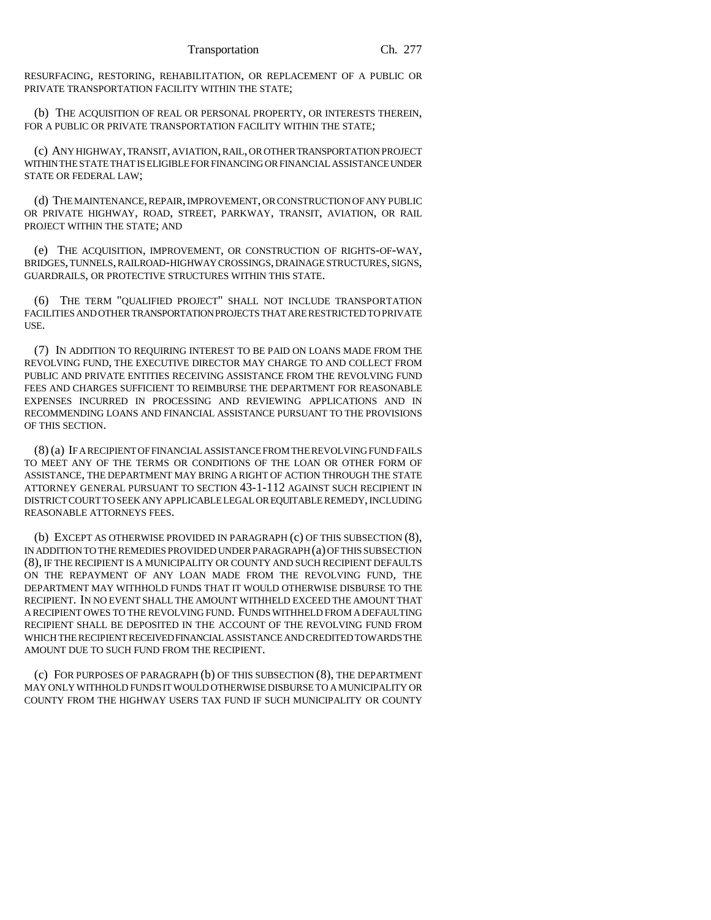RESURFACING, RESTORING, REHABILITATION, OR REPLACEMENT OF A PUBLIC OR PRIVATE TRANSPORTATION FACILITY WITHIN THE STATE;

(b) THE ACQUISITION OF REAL OR PERSONAL PROPERTY, OR INTERESTS THEREIN, FOR A PUBLIC OR PRIVATE TRANSPORTATION FACILITY WITHIN THE STATE;

(c) ANY HIGHWAY, TRANSIT, AVIATION, RAIL, OR OTHER TRANSPORTATION PROJECT WITHIN THE STATE THAT IS ELIGIBLE FOR FINANCING OR FINANCIAL ASSISTANCE UNDER STATE OR FEDERAL LAW;

(d) THE MAINTENANCE, REPAIR, IMPROVEMENT, OR CONSTRUCTION OF ANY PUBLIC OR PRIVATE HIGHWAY, ROAD, STREET, PARKWAY, TRANSIT, AVIATION, OR RAIL PROJECT WITHIN THE STATE; AND

(e) THE ACQUISITION, IMPROVEMENT, OR CONSTRUCTION OF RIGHTS-OF-WAY, BRIDGES, TUNNELS, RAILROAD-HIGHWAY CROSSINGS, DRAINAGE STRUCTURES, SIGNS, GUARDRAILS, OR PROTECTIVE STRUCTURES WITHIN THIS STATE.

(6) THE TERM "QUALIFIED PROJECT" SHALL NOT INCLUDE TRANSPORTATION FACILITIES AND OTHER TRANSPORTATION PROJECTS THAT ARE RESTRICTED TO PRIVATE USE.

(7) IN ADDITION TO REQUIRING INTEREST TO BE PAID ON LOANS MADE FROM THE REVOLVING FUND, THE EXECUTIVE DIRECTOR MAY CHARGE TO AND COLLECT FROM PUBLIC AND PRIVATE ENTITIES RECEIVING ASSISTANCE FROM THE REVOLVING FUND FEES AND CHARGES SUFFICIENT TO REIMBURSE THE DEPARTMENT FOR REASONABLE EXPENSES INCURRED IN PROCESSING AND REVIEWING APPLICATIONS AND IN RECOMMENDING LOANS AND FINANCIAL ASSISTANCE PURSUANT TO THE PROVISIONS OF THIS SECTION.

(8) (a) IF A RECIPIENT OF FINANCIAL ASSISTANCE FROM THE REVOLVING FUND FAILS TO MEET ANY OF THE TERMS OR CONDITIONS OF THE LOAN OR OTHER FORM OF ASSISTANCE, THE DEPARTMENT MAY BRING A RIGHT OF ACTION THROUGH THE STATE ATTORNEY GENERAL PURSUANT TO SECTION 43-1-112 AGAINST SUCH RECIPIENT IN DISTRICT COURT TO SEEK ANY APPLICABLE LEGAL OR EQUITABLE REMEDY, INCLUDING REASONABLE ATTORNEYS FEES.

(b) EXCEPT AS OTHERWISE PROVIDED IN PARAGRAPH (c) OF THIS SUBSECTION (8), IN ADDITION TO THE REMEDIES PROVIDED UNDER PARAGRAPH (a) OF THIS SUBSECTION (8), IF THE RECIPIENT IS A MUNICIPALITY OR COUNTY AND SUCH RECIPIENT DEFAULTS ON THE REPAYMENT OF ANY LOAN MADE FROM THE REVOLVING FUND, THE DEPARTMENT MAY WITHHOLD FUNDS THAT IT WOULD OTHERWISE DISBURSE TO THE RECIPIENT. IN NO EVENT SHALL THE AMOUNT WITHHELD EXCEED THE AMOUNT THAT A RECIPIENT OWES TO THE REVOLVING FUND. FUNDS WITHHELD FROM A DEFAULTING RECIPIENT SHALL BE DEPOSITED IN THE ACCOUNT OF THE REVOLVING FUND FROM WHICH THE RECIPIENT RECEIVED FINANCIAL ASSISTANCE AND CREDITED TOWARDS THE AMOUNT DUE TO SUCH FUND FROM THE RECIPIENT.

(c) FOR PURPOSES OF PARAGRAPH (b) OF THIS SUBSECTION (8), THE DEPARTMENT MAY ONLY WITHHOLD FUNDS IT WOULD OTHERWISE DISBURSE TO A MUNICIPALITY OR COUNTY FROM THE HIGHWAY USERS TAX FUND IF SUCH MUNICIPALITY OR COUNTY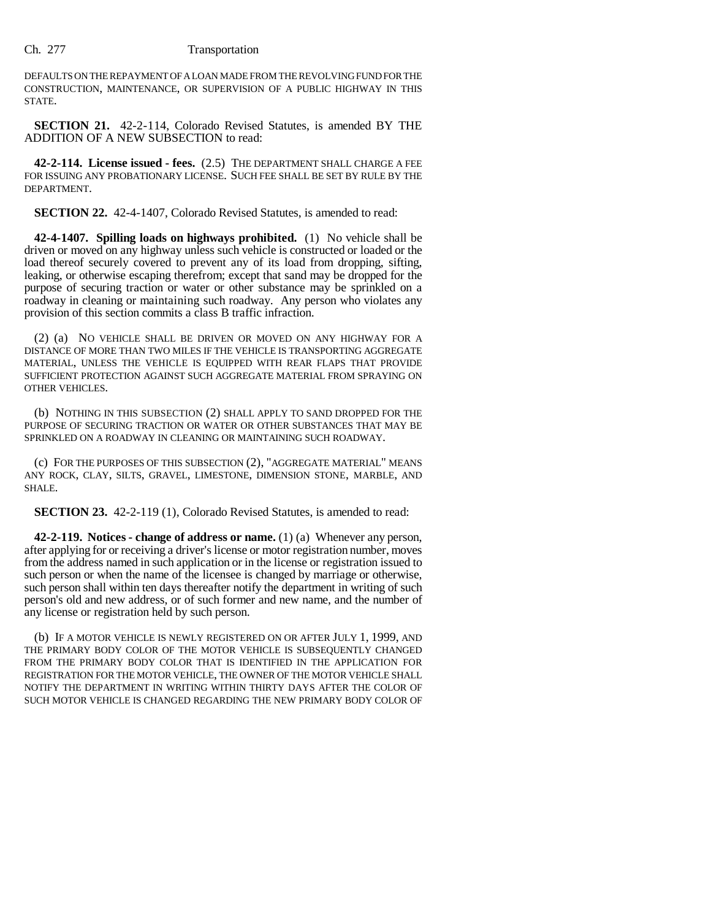### Ch. 277 Transportation

DEFAULTS ON THE REPAYMENT OF A LOAN MADE FROM THE REVOLVING FUND FOR THE CONSTRUCTION, MAINTENANCE, OR SUPERVISION OF A PUBLIC HIGHWAY IN THIS STATE.

**SECTION 21.** 42-2-114, Colorado Revised Statutes, is amended BY THE ADDITION OF A NEW SUBSECTION to read:

**42-2-114. License issued - fees.** (2.5) THE DEPARTMENT SHALL CHARGE A FEE FOR ISSUING ANY PROBATIONARY LICENSE. SUCH FEE SHALL BE SET BY RULE BY THE DEPARTMENT.

**SECTION 22.** 42-4-1407, Colorado Revised Statutes, is amended to read:

**42-4-1407. Spilling loads on highways prohibited.** (1) No vehicle shall be driven or moved on any highway unless such vehicle is constructed or loaded or the load thereof securely covered to prevent any of its load from dropping, sifting, leaking, or otherwise escaping therefrom; except that sand may be dropped for the purpose of securing traction or water or other substance may be sprinkled on a roadway in cleaning or maintaining such roadway. Any person who violates any provision of this section commits a class B traffic infraction.

(2) (a) NO VEHICLE SHALL BE DRIVEN OR MOVED ON ANY HIGHWAY FOR A DISTANCE OF MORE THAN TWO MILES IF THE VEHICLE IS TRANSPORTING AGGREGATE MATERIAL, UNLESS THE VEHICLE IS EQUIPPED WITH REAR FLAPS THAT PROVIDE SUFFICIENT PROTECTION AGAINST SUCH AGGREGATE MATERIAL FROM SPRAYING ON OTHER VEHICLES.

(b) NOTHING IN THIS SUBSECTION (2) SHALL APPLY TO SAND DROPPED FOR THE PURPOSE OF SECURING TRACTION OR WATER OR OTHER SUBSTANCES THAT MAY BE SPRINKLED ON A ROADWAY IN CLEANING OR MAINTAINING SUCH ROADWAY.

(c) FOR THE PURPOSES OF THIS SUBSECTION (2), "AGGREGATE MATERIAL" MEANS ANY ROCK, CLAY, SILTS, GRAVEL, LIMESTONE, DIMENSION STONE, MARBLE, AND SHALE.

**SECTION 23.** 42-2-119 (1), Colorado Revised Statutes, is amended to read:

**42-2-119. Notices - change of address or name.** (1) (a) Whenever any person, after applying for or receiving a driver's license or motor registration number, moves from the address named in such application or in the license or registration issued to such person or when the name of the licensee is changed by marriage or otherwise, such person shall within ten days thereafter notify the department in writing of such person's old and new address, or of such former and new name, and the number of any license or registration held by such person.

(b) IF A MOTOR VEHICLE IS NEWLY REGISTERED ON OR AFTER JULY 1, 1999, AND THE PRIMARY BODY COLOR OF THE MOTOR VEHICLE IS SUBSEQUENTLY CHANGED FROM THE PRIMARY BODY COLOR THAT IS IDENTIFIED IN THE APPLICATION FOR REGISTRATION FOR THE MOTOR VEHICLE, THE OWNER OF THE MOTOR VEHICLE SHALL NOTIFY THE DEPARTMENT IN WRITING WITHIN THIRTY DAYS AFTER THE COLOR OF SUCH MOTOR VEHICLE IS CHANGED REGARDING THE NEW PRIMARY BODY COLOR OF